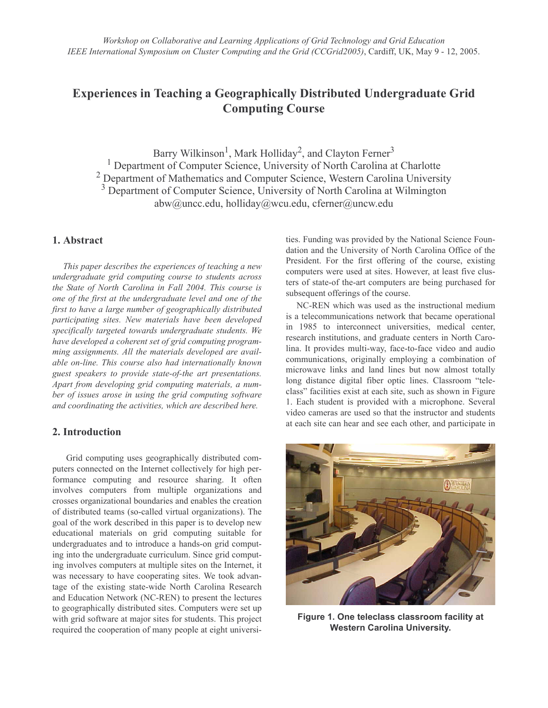# **Experiences in Teaching a Geographically Distributed Undergraduate Grid Computing Course**

Barry Wilkinson<sup>1</sup>, Mark Holliday<sup>2</sup>, and Clayton Ferner<sup>3</sup> <sup>1</sup> Department of Computer Science, University of North Carolina at Charlotte <sup>2</sup> Department of Mathematics and Computer Science, Western Carolina University <sup>3</sup> Department of Computer Science, University of North Carolina at Wilmington abw@uncc.edu, holliday@wcu.edu, cferner@uncw.edu

# 1. Abstract

This paper describes the experiences of teaching a new undergraduate grid computing course to students across the State of North Carolina in Fall 2004. This course is one of the first at the undergraduate level and one of the first to have a large number of geographically distributed participating sites. New materials have been developed specifically targeted towards undergraduate students. We have developed a coherent set of grid computing programming assignments. All the materials developed are available on-line. This course also had internationally known guest speakers to provide state-of-the art presentations. Apart from developing grid computing materials, a number of issues arose in using the grid computing software and coordinating the activities, which are described here.

### 2. Introduction

Grid computing uses geographically distributed computers connected on the Internet collectively for high performance computing and resource sharing. It often involves computers from multiple organizations and crosses organizational boundaries and enables the creation of distributed teams (so-called virtual organizations). The goal of the work described in this paper is to develop new educational materials on grid computing suitable for undergraduates and to introduce a hands-on grid computing into the undergraduate curriculum. Since grid computing involves computers at multiple sites on the Internet, it was necessary to have cooperating sites. We took advantage of the existing state-wide North Carolina Research and Education Network (NC-REN) to present the lectures to geographically distributed sites. Computers were set up with grid software at major sites for students. This project required the cooperation of many people at eight universities. Funding was provided by the National Science Foundation and the University of North Carolina Office of the President. For the first offering of the course, existing computers were used at sites. However, at least five clusters of state-of the-art computers are being purchased for subsequent offerings of the course.

NC-REN which was used as the instructional medium is a telecommunications network that became operational in 1985 to interconnect universities, medical center, research institutions, and graduate centers in North Carolina. It provides multi-way, face-to-face video and audio communications, originally employing a combination of microwave links and land lines but now almost totally long distance digital fiber optic lines. Classroom "teleclass" facilities exist at each site, such as shown in Figure 1. Each student is provided with a microphone. Several video cameras are used so that the instructor and students at each site can hear and see each other, and participate in



Figure 1. One teleclass classroom facility at **Western Carolina University.**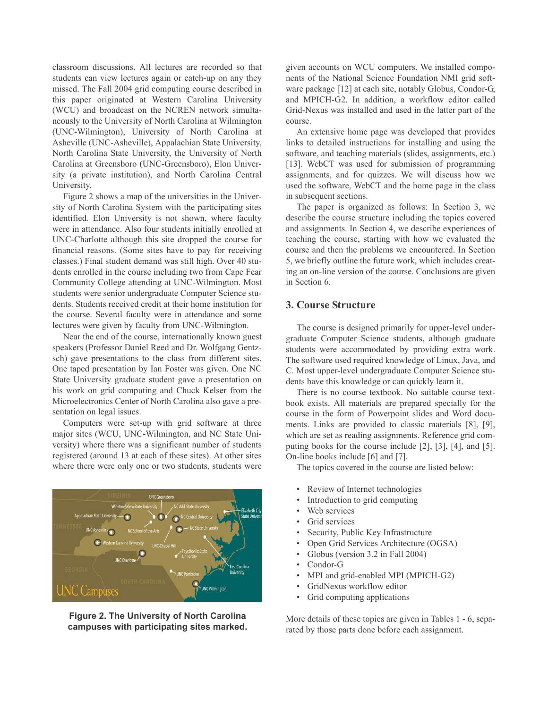classroom discussions. All lectures are recorded so that students can view lectures again or catch-up on any they missed. The Fall 2004 grid computing course described in this paper originated at Western Carolina University (WCU) and broadcast on the NCREN network simultaneously to the University of North Carolina at Wilmington (UNC-Wilmington), University of North Carolina at Asheville (UNC-Asheville), Appalachian State University, North Carolina State University, the University of North Carolina at Greensboro (UNC-Greensboro), Elon University (a private institution), and North Carolina Central University.

Figure 2 shows a map of the universities in the University of North Carolina System with the participating sites identified. Elon University is not shown, where faculty were in attendance. Also four students initially enrolled at UNC-Charlotte although this site dropped the course for financial reasons. (Some sites have to pay for receiving classes.) Final student demand was still high. Over 40 students enrolled in the course including two from Cape Fear Community College attending at UNC-Wilmington. Most students were senior undergraduate Computer Science students. Students received credit at their home institution for the course. Several faculty were in attendance and some lectures were given by faculty from UNC-Wilmington.

Near the end of the course, internationally known guest speakers (Professor Daniel Reed and Dr. Wolfgang Gentzsch) gave presentations to the class from different sites. One taped presentation by Ian Foster was given. One NC State University graduate student gave a presentation on his work on grid computing and Chuck Kelser from the Microelectronics Center of North Carolina also gave a presentation on legal issues.

Computers were set-up with grid software at three major sites (WCU, UNC-Wilmington, and NC State University) where there was a significant number of students registered (around 13 at each of these sites). At other sites where there were only one or two students, students were



Figure 2. The University of North Carolina campuses with participating sites marked.

given accounts on WCU computers. We installed components of the National Science Foundation NMI grid software package [12] at each site, notably Globus, Condor-G, and MPICH-G2. In addition, a workflow editor called Grid-Nexus was installed and used in the latter part of the course.

An extensive home page was developed that provides links to detailed instructions for installing and using the software, and teaching materials (slides, assignments, etc.) [13]. WebCT was used for submission of programming assignments, and for quizzes. We will discuss how we used the software, WebCT and the home page in the class in subsequent sections.

The paper is organized as follows: In Section 3, we describe the course structure including the topics covered and assignments. In Section 4, we describe experiences of teaching the course, starting with how we evaluated the course and then the problems we encountered. In Section 5, we briefly outline the future work, which includes creating an on-line version of the course. Conclusions are given in Section 6.

# **3. Course Structure**

The course is designed primarily for upper-level undergraduate Computer Science students, although graduate students were accommodated by providing extra work. The software used required knowledge of Linux, Java, and C. Most upper-level undergraduate Computer Science students have this knowledge or can quickly learn it.

There is no course textbook. No suitable course textbook exists. All materials are prepared specially for the course in the form of Powerpoint slides and Word documents. Links are provided to classic materials [8], [9], which are set as reading assignments. Reference grid computing books for the course include [2], [3], [4], and [5]. On-line books include [6] and [7].

The topics covered in the course are listed below:

- Review of Internet technologies
- Introduction to grid computing
- Web services
- Grid services
- Security, Public Key Infrastructure
- Open Grid Services Architecture (OGSA)
- Globus (version 3.2 in Fall 2004)
- Condor-G
- MPI and grid-enabled MPI (MPICH-G2)
- GridNexus workflow editor
- Grid computing applications

More details of these topics are given in Tables 1 - 6, separated by those parts done before each assignment.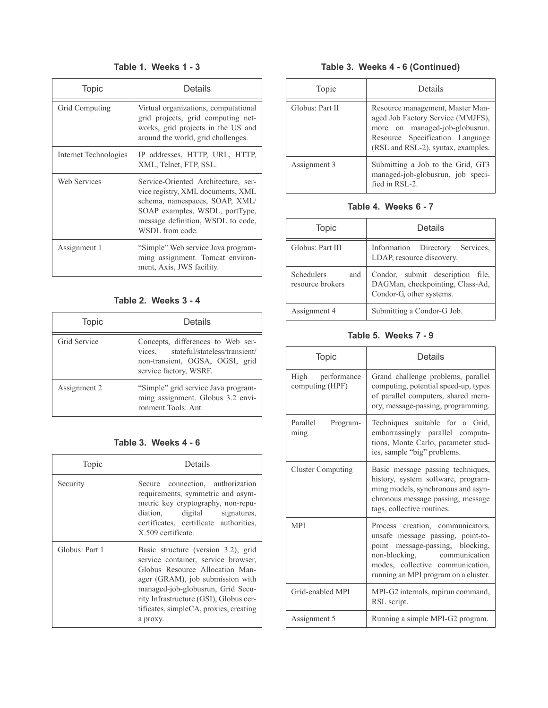# Table 1. Weeks 1 - 3

| <b>Topic</b>          | Details                                                                                                                                                                                              |
|-----------------------|------------------------------------------------------------------------------------------------------------------------------------------------------------------------------------------------------|
| Grid Computing        | Virtual organizations, computational<br>grid projects, grid computing net-<br>works, grid projects in the US and<br>around the world, grid challenges.                                               |
| Internet Technologies | IP addresses, HTTP, URL, HTTP,<br>XML, Telnet, FTP, SSL.                                                                                                                                             |
| <b>Web Services</b>   | Service-Oriented Architecture, ser-<br>vice registry, XML documents, XML<br>schema, namespaces, SOAP, XML/<br>SOAP examples, WSDL, portType,<br>message definition, WSDL to code,<br>WSDL from code. |
| Assignment 1          | "Simple" Web service Java program-<br>ming assignment. Tomcat environ-<br>ment, Axis, JWS facility.                                                                                                  |

Table 2. Weeks 3 - 4

| Topic        | Details                                                                                                                                |
|--------------|----------------------------------------------------------------------------------------------------------------------------------------|
| Grid Service | Concepts, differences to Web ser-<br>vices, stateful/stateless/transient/<br>non-transient, OGSA, OGSI, grid<br>service factory, WSRF. |
| Assignment 2 | "Simple" grid service Java program-<br>ming assignment. Globus 3.2 envi-<br>ronment.Tools: Ant.                                        |

# Table 3. Weeks 4 - 6

| Topic          | Details                                                                                                                                                                                                                                                                                |
|----------------|----------------------------------------------------------------------------------------------------------------------------------------------------------------------------------------------------------------------------------------------------------------------------------------|
| Security       | Secure connection, authorization<br>requirements, symmetric and asym-<br>metric key cryptography, non-repu-<br>diation, digital signatures,<br>certificates, certificate authorities,<br>X.509 certificate.                                                                            |
| Globus: Part 1 | Basic structure (version 3.2), grid<br>service container, service browser,<br>Globus Resource Allocation Man-<br>ager (GRAM), job submission with<br>managed-job-globusrun, Grid Secu-<br>rity Infrastructure (GSI), Globus cer-<br>tificates, simpleCA, proxies, creating<br>a proxy. |

# Table 3. Weeks 4 - 6 (Continued)

| Topic           | Details                                                                                                                                                                          |
|-----------------|----------------------------------------------------------------------------------------------------------------------------------------------------------------------------------|
| Globus: Part II | Resource management, Master Man-<br>aged Job Factory Service (MMJFS),<br>more on managed-job-globusrun.<br>Resource Specification Language<br>(RSL and RSL-2), syntax, examples. |
| Assignment 3    | Submitting a Job to the Grid, GT3<br>managed-job-globusrun, job speci-<br>fied in RSL-2.                                                                                         |

# Table 4. Weeks 6 - 7

| <b>Topic</b>                                 | Details                                                                                          |  |
|----------------------------------------------|--------------------------------------------------------------------------------------------------|--|
| Globus: Part III                             | Information Directory Services,<br>LDAP, resource discovery.                                     |  |
| <b>Schedulers</b><br>and<br>resource brokers | Condor, submit description file,<br>DAGMan, checkpointing, Class-Ad,<br>Condor-G, other systems. |  |
| Assignment 4                                 | Submitting a Condor-G Job.                                                                       |  |

# Table 5. Weeks 7 - 9

| <b>Topic</b>                        | Details                                                                                                                                                                                                              |
|-------------------------------------|----------------------------------------------------------------------------------------------------------------------------------------------------------------------------------------------------------------------|
| High performance<br>computing (HPF) | Grand challenge problems, parallel<br>computing, potential speed-up, types<br>of parallel computers, shared mem-<br>ory, message-passing, programming.                                                               |
| Parallel<br>Program-<br>ming        | Techniques suitable for a Grid,<br>embarrassingly parallel computa-<br>tions, Monte Carlo, parameter stud-<br>ies, sample "big" problems.                                                                            |
| <b>Cluster Computing</b>            | Basic message passing techniques,<br>history, system software, program-<br>ming models, synchronous and asyn-<br>chronous message passing, message<br>tags, collective routines.                                     |
| <b>MPI</b>                          | Process creation, communicators,<br>unsafe message passing, point-to-<br>point message-passing, blocking,<br>non-blocking, communication<br>modes, collective communication,<br>running an MPI program on a cluster. |
| Grid-enabled MPI                    | MPI-G2 internals, mpirun command,<br>RSL script.                                                                                                                                                                     |
| Assignment 5                        | Running a simple MPI-G2 program.                                                                                                                                                                                     |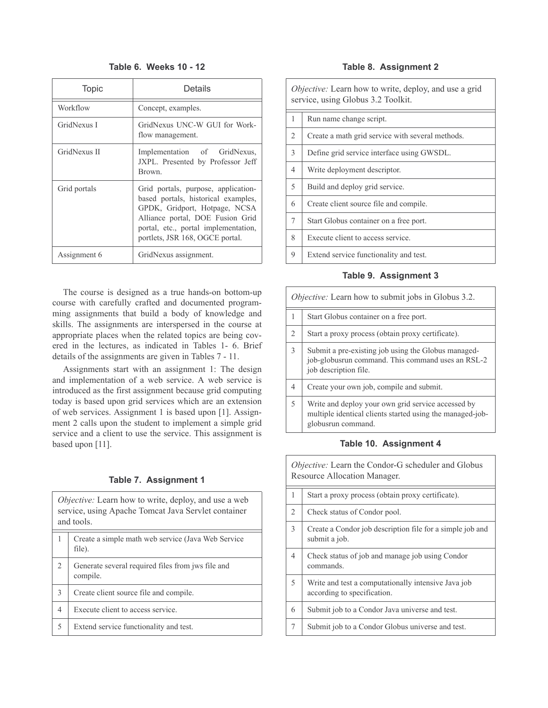### Table 6. Weeks 10 - 12

| <b>Topic</b> | Details                                                                                                                                                                                                                    |
|--------------|----------------------------------------------------------------------------------------------------------------------------------------------------------------------------------------------------------------------------|
| Workflow     | Concept, examples.                                                                                                                                                                                                         |
| GridNexus I  | GridNexus UNC-W GUI for Work-<br>flow management.                                                                                                                                                                          |
| GridNexus II | Implementation of GridNexus,<br>JXPL. Presented by Professor Jeff<br>Brown.                                                                                                                                                |
| Grid portals | Grid portals, purpose, application-<br>based portals, historical examples,<br>GPDK, Gridport, Hotpage, NCSA<br>Alliance portal, DOE Fusion Grid<br>portal, etc., portal implementation,<br>portlets, JSR 168, OGCE portal. |
| Assignment 6 | GridNexus assignment.                                                                                                                                                                                                      |

The course is designed as a true hands-on bottom-up course with carefully crafted and documented programming assignments that build a body of knowledge and skills. The assignments are interspersed in the course at appropriate places when the related topics are being covered in the lectures, as indicated in Tables 1- 6. Brief details of the assignments are given in Tables 7 - 11.

Assignments start with an assignment 1: The design and implementation of a web service. A web service is introduced as the first assignment because grid computing today is based upon grid services which are an extension of web services. Assignment 1 is based upon [1]. Assignment 2 calls upon the student to implement a simple grid service and a client to use the service. This assignment is based upon [11].

#### Table 7. Assignment 1

| Objective: Learn how to write, deploy, and use a web<br>service, using Apache Tomcat Java Servlet container<br>and tools. |                                                               |  |
|---------------------------------------------------------------------------------------------------------------------------|---------------------------------------------------------------|--|
|                                                                                                                           | Create a simple math web service (Java Web Service)<br>file). |  |
| $\mathcal{D}$                                                                                                             | Generate several required files from jws file and<br>compile. |  |
| $\mathcal{E}$                                                                                                             | Create client source file and compile.                        |  |
| $\overline{4}$                                                                                                            | Execute client to access service.                             |  |
| 5                                                                                                                         | Extend service functionality and test.                        |  |

#### Table 8. Assignment 2

| <i>Objective:</i> Learn how to write, deploy, and use a grid<br>service, using Globus 3.2 Toolkit. |                                                  |  |
|----------------------------------------------------------------------------------------------------|--------------------------------------------------|--|
| 1                                                                                                  | Run name change script.                          |  |
| 2                                                                                                  | Create a math grid service with several methods. |  |
| 3                                                                                                  | Define grid service interface using GWSDL.       |  |
| $\overline{4}$                                                                                     | Write deployment descriptor.                     |  |
| 5                                                                                                  | Build and deploy grid service.                   |  |
| 6                                                                                                  | Create client source file and compile.           |  |
| 7                                                                                                  | Start Globus container on a free port.           |  |
| 8                                                                                                  | Execute client to access service.                |  |
| 9                                                                                                  | Extend service functionality and test.           |  |

#### Table 9. Assignment 3

| <i>Objective:</i> Learn how to submit jobs in Globus 3.2. |                                                                                                                                       |  |
|-----------------------------------------------------------|---------------------------------------------------------------------------------------------------------------------------------------|--|
| 1                                                         | Start Globus container on a free port.                                                                                                |  |
| $\mathfrak{D}$                                            | Start a proxy process (obtain proxy certificate).                                                                                     |  |
| $\overline{3}$                                            | Submit a pre-existing job using the Globus managed-<br>job-globusrun command. This command uses an RSL-2<br>job description file.     |  |
| $\overline{4}$                                            | Create your own job, compile and submit.                                                                                              |  |
| 5                                                         | Write and deploy your own grid service accessed by<br>multiple identical clients started using the managed-job-<br>globusrun command. |  |

# Table 10. Assignment 4

Objective: Learn the Condor-G scheduler and Globus Resource Allocation Manager.

| $\mathbf{1}$   | Start a proxy process (obtain proxy certificate).                                  |
|----------------|------------------------------------------------------------------------------------|
| $\overline{2}$ | Check status of Condor pool.                                                       |
| 3              | Create a Condor job description file for a simple job and<br>submit a job.         |
| $\overline{4}$ | Check status of job and manage job using Condor<br>commands.                       |
| 5              | Write and test a computationally intensive Java job<br>according to specification. |
| 6              | Submit job to a Condor Java universe and test.                                     |
|                | Submit job to a Condor Globus universe and test.                                   |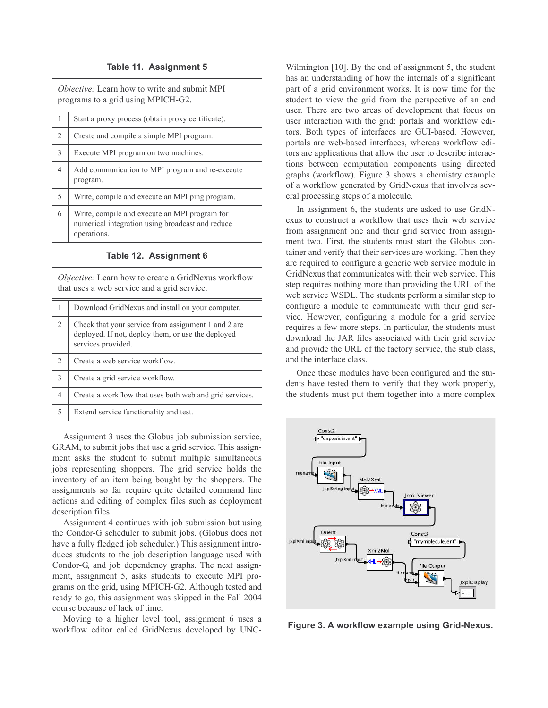#### Table 11. Assignment 5

|                | <i>Objective:</i> Learn how to write and submit MPI<br>programs to a grid using MPICH-G2.                        |  |
|----------------|------------------------------------------------------------------------------------------------------------------|--|
| 1              | Start a proxy process (obtain proxy certificate).                                                                |  |
| $\overline{2}$ | Create and compile a simple MPI program.                                                                         |  |
| 3              | Execute MPI program on two machines.                                                                             |  |
| 4              | Add communication to MPI program and re-execute<br>program.                                                      |  |
| 5              | Write, compile and execute an MPI ping program.                                                                  |  |
| 6              | Write, compile and execute an MPI program for<br>numerical integration using broadcast and reduce<br>operations. |  |

| <i>Objective:</i> Learn how to create a GridNexus workflow<br>that uses a web service and a grid service. |                                                                                                                                 |
|-----------------------------------------------------------------------------------------------------------|---------------------------------------------------------------------------------------------------------------------------------|
| $\mathbf{1}$                                                                                              | Download GridNexus and install on your computer.                                                                                |
| $\overline{c}$                                                                                            | Check that your service from assignment 1 and 2 are<br>deployed. If not, deploy them, or use the deployed<br>services provided. |
| $\overline{c}$                                                                                            | Create a web service workflow.                                                                                                  |
| $\mathcal{E}$                                                                                             | Create a grid service workflow.                                                                                                 |
| $\overline{4}$                                                                                            | Create a workflow that uses both web and grid services.                                                                         |
| 5                                                                                                         | Extend service functionality and test.                                                                                          |

Assignment 3 uses the Globus job submission service, GRAM, to submit jobs that use a grid service. This assignment asks the student to submit multiple simultaneous jobs representing shoppers. The grid service holds the inventory of an item being bought by the shoppers. The assignments so far require quite detailed command line actions and editing of complex files such as deployment description files.

Assignment 4 continues with job submission but using the Condor-G scheduler to submit jobs. (Globus does not have a fully fledged job scheduler.) This assignment introduces students to the job description language used with Condor-G, and job dependency graphs. The next assignment, assignment 5, asks students to execute MPI programs on the grid, using MPICH-G2. Although tested and ready to go, this assignment was skipped in the Fall 2004 course because of lack of time.

Moving to a higher level tool, assignment 6 uses a workflow editor called GridNexus developed by UNC-

Wilmington [10]. By the end of assignment 5, the student has an understanding of how the internals of a significant part of a grid environment works. It is now time for the student to view the grid from the perspective of an end user. There are two areas of development that focus on user interaction with the grid: portals and workflow editors. Both types of interfaces are GUI-based. However, portals are web-based interfaces, whereas workflow editors are applications that allow the user to describe interactions between computation components using directed graphs (workflow). Figure 3 shows a chemistry example of a workflow generated by GridNexus that involves several processing steps of a molecule.

In assignment 6, the students are asked to use GridNexus to construct a workflow that uses their web service from assignment one and their grid service from assignment two. First, the students must start the Globus container and verify that their services are working. Then they are required to configure a generic web service module in GridNexus that communicates with their web service. This step requires nothing more than providing the URL of the web service WSDL. The students perform a similar step to configure a module to communicate with their grid service. However, configuring a module for a grid service requires a few more steps. In particular, the students must download the JAR files associated with their grid service and provide the URL of the factory service, the stub class, and the interface class.

Once these modules have been configured and the students have tested them to verify that they work properly, the students must put them together into a more complex



Figure 3. A workflow example using Grid-Nexus.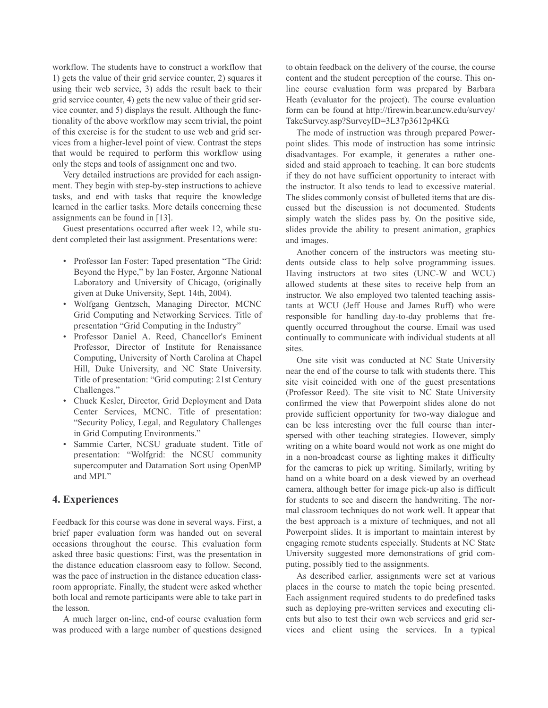workflow. The students have to construct a workflow that 1) gets the value of their grid service counter, 2) squares it using their web service, 3) adds the result back to their grid service counter, 4) gets the new value of their grid service counter, and 5) displays the result. Although the functionality of the above workflow may seem trivial, the point of this exercise is for the student to use web and grid services from a higher-level point of view. Contrast the steps that would be required to perform this workflow using only the steps and tools of assignment one and two.

Very detailed instructions are provided for each assignment. They begin with step-by-step instructions to achieve tasks, and end with tasks that require the knowledge learned in the earlier tasks. More details concerning these assignments can be found in  $[13]$ .

Guest presentations occurred after week 12, while student completed their last assignment. Presentations were:

- Professor Ian Foster: Taped presentation "The Grid: Beyond the Hype," by Ian Foster, Argonne National Laboratory and University of Chicago, (originally given at Duke University, Sept. 14th, 2004).
- Wolfgang Gentzsch, Managing Director, MCNC Grid Computing and Networking Services. Title of presentation "Grid Computing in the Industry"
- · Professor Daniel A. Reed, Chancellor's Eminent Professor. Director of Institute for Renaissance Computing, University of North Carolina at Chapel Hill, Duke University, and NC State University. Title of presentation: "Grid computing: 21st Century Challenges."
- Chuck Kesler, Director, Grid Deployment and Data Center Services, MCNC. Title of presentation: "Security Policy, Legal, and Regulatory Challenges in Grid Computing Environments."
- Sammie Carter, NCSU graduate student. Title of presentation: "Wolfgrid: the NCSU community supercomputer and Datamation Sort using OpenMP and MPI."

### 4. Experiences

Feedback for this course was done in several ways. First, a brief paper evaluation form was handed out on several occasions throughout the course. This evaluation form asked three basic questions: First, was the presentation in the distance education classroom easy to follow. Second, was the pace of instruction in the distance education classroom appropriate. Finally, the student were asked whether both local and remote participants were able to take part in the lesson.

A much larger on-line, end-of course evaluation form was produced with a large number of questions designed to obtain feedback on the delivery of the course, the course content and the student perception of the course. This online course evaluation form was prepared by Barbara Heath (evaluator for the project). The course evaluation form can be found at http://firewin.bear.uncw.edu/survey/ TakeSurvey.asp?SurveyID=3L37p3612p4KG.

The mode of instruction was through prepared Powerpoint slides. This mode of instruction has some intrinsic disadvantages. For example, it generates a rather onesided and staid approach to teaching. It can bore students if they do not have sufficient opportunity to interact with the instructor. It also tends to lead to excessive material. The slides commonly consist of bulleted items that are discussed but the discussion is not documented. Students simply watch the slides pass by. On the positive side, slides provide the ability to present animation, graphics and images.

Another concern of the instructors was meeting students outside class to help solve programming issues. Having instructors at two sites (UNC-W and WCU) allowed students at these sites to receive help from an instructor. We also employed two talented teaching assistants at WCU (Jeff House and James Ruff) who were responsible for handling day-to-day problems that frequently occurred throughout the course. Email was used continually to communicate with individual students at all sites.

One site visit was conducted at NC State University near the end of the course to talk with students there. This site visit coincided with one of the guest presentations (Professor Reed). The site visit to NC State University confirmed the view that Powerpoint slides alone do not provide sufficient opportunity for two-way dialogue and can be less interesting over the full course than interspersed with other teaching strategies. However, simply writing on a white board would not work as one might do in a non-broadcast course as lighting makes it difficulty for the cameras to pick up writing. Similarly, writing by hand on a white board on a desk viewed by an overhead camera, although better for image pick-up also is difficult for students to see and discern the handwriting. The normal classroom techniques do not work well. It appear that the best approach is a mixture of techniques, and not all Powerpoint slides. It is important to maintain interest by engaging remote students especially. Students at NC State University suggested more demonstrations of grid computing, possibly tied to the assignments.

As described earlier, assignments were set at various places in the course to match the topic being presented. Each assignment required students to do predefined tasks such as deploying pre-written services and executing clients but also to test their own web services and grid services and client using the services. In a typical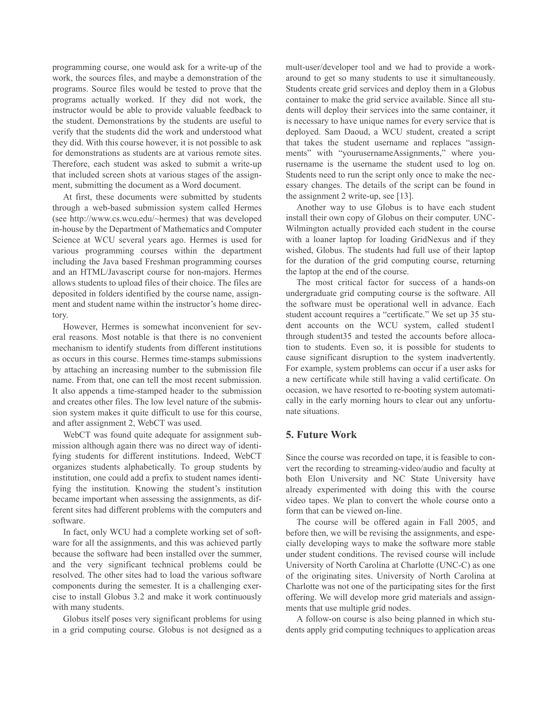programming course, one would ask for a write-up of the work, the sources files, and maybe a demonstration of the programs. Source files would be tested to prove that the programs actually worked. If they did not work, the instructor would be able to provide valuable feedback to the student. Demonstrations by the students are useful to verify that the students did the work and understood what they did. With this course however, it is not possible to ask for demonstrations as students are at various remote sites. Therefore, each student was asked to submit a write-up that included screen shots at various stages of the assignment, submitting the document as a Word document.

At first, these documents were submitted by students through a web-based submission system called Hermes (see http://www.cs.wcu.edu/~hermes) that was developed in-house by the Department of Mathematics and Computer Science at WCU several years ago. Hermes is used for various programming courses within the department including the Java based Freshman programming courses and an HTML/Javascript course for non-majors. Hermes allows students to upload files of their choice. The files are deposited in folders identified by the course name, assignment and student name within the instructor's home directory.

However, Hermes is somewhat inconvenient for several reasons. Most notable is that there is no convenient mechanism to identify students from different institutions as occurs in this course. Hermes time-stamps submissions by attaching an increasing number to the submission file name. From that, one can tell the most recent submission. It also appends a time-stamped header to the submission and creates other files. The low level nature of the submission system makes it quite difficult to use for this course, and after assignment 2, WebCT was used.

WebCT was found quite adequate for assignment submission although again there was no direct way of identifying students for different institutions. Indeed, WebCT organizes students alphabetically. To group students by institution, one could add a prefix to student names identifying the institution. Knowing the student's institution became important when assessing the assignments, as different sites had different problems with the computers and software.

In fact, only WCU had a complete working set of software for all the assignments, and this was achieved partly because the software had been installed over the summer, and the very significant technical problems could be resolved. The other sites had to load the various software components during the semester. It is a challenging exercise to install Globus 3.2 and make it work continuously with many students.

Globus itself poses very significant problems for using in a grid computing course. Globus is not designed as a

mult-user/developer tool and we had to provide a workaround to get so many students to use it simultaneously. Students create grid services and deploy them in a Globus container to make the grid service available. Since all students will deploy their services into the same container, it is necessary to have unique names for every service that is deployed. Sam Daoud, a WCU student, created a script that takes the student username and replaces "assignments" with "yourusernameAssignments," where yourusername is the username the student used to log on. Students need to run the script only once to make the necessary changes. The details of the script can be found in the assignment 2 write-up, see  $[13]$ .

Another way to use Globus is to have each student install their own copy of Globus on their computer. UNC-Wilmington actually provided each student in the course with a loaner laptop for loading GridNexus and if they wished, Globus. The students had full use of their laptop for the duration of the grid computing course, returning the laptop at the end of the course.

The most critical factor for success of a hands-on undergraduate grid computing course is the software. All the software must be operational well in advance. Each student account requires a "certificate." We set up 35 student accounts on the WCU system, called student1 through student35 and tested the accounts before allocation to students. Even so, it is possible for students to cause significant disruption to the system inadvertently. For example, system problems can occur if a user asks for a new certificate while still having a valid certificate. On occasion, we have resorted to re-booting system automatically in the early morning hours to clear out any unfortunate situations

### **5. Future Work**

Since the course was recorded on tape, it is feasible to convert the recording to streaming-video/audio and faculty at both Elon University and NC State University have already experimented with doing this with the course video tapes. We plan to convert the whole course onto a form that can be viewed on-line.

The course will be offered again in Fall 2005, and before then, we will be revising the assignments, and especially developing ways to make the software more stable under student conditions. The revised course will include University of North Carolina at Charlotte (UNC-C) as one of the originating sites. University of North Carolina at Charlotte was not one of the participating sites for the first offering. We will develop more grid materials and assignments that use multiple grid nodes.

A follow-on course is also being planned in which students apply grid computing techniques to application areas